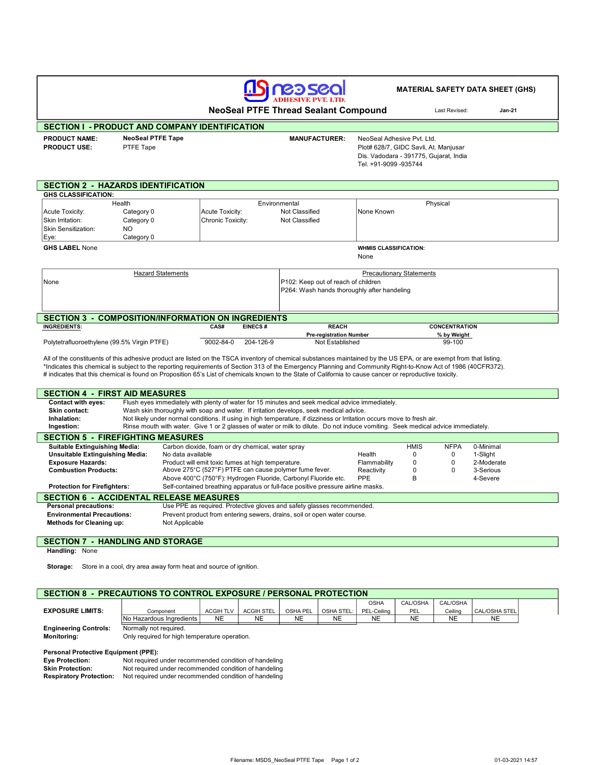# AS RED SEC

#### MATERIAL SAFETY DATA SHEET (GHS)

NeoSeal PTFE Thread Sealant Compound

Last Revised: Jan-21

| <b>SECTION I - PRODUCT AND COMPANY IDENTIFICATION</b> |                      |                                        |                                                                |  |  |
|-------------------------------------------------------|----------------------|----------------------------------------|----------------------------------------------------------------|--|--|
| <b>NeoSeal PTFE Tape</b>                              | <b>MANUFACTURER:</b> | NeoSeal Adhesive Pvt. Ltd.             |                                                                |  |  |
|                                                       |                      | Dis. Vadodara - 391775, Gujarat, India |                                                                |  |  |
|                                                       | PTFE Tape            |                                        | Plot# 628/7, GIDC Savli, At. Manjusar<br>Tel. +91-9099 -935744 |  |  |

| <b>SECTION 2 - HAZARDS IDENTIFICATION</b>                    |                              |                   |                |                                             |                                 |  |  |  |  |  |
|--------------------------------------------------------------|------------------------------|-------------------|----------------|---------------------------------------------|---------------------------------|--|--|--|--|--|
| <b>GHS CLASSIFICATION:</b>                                   |                              |                   |                |                                             |                                 |  |  |  |  |  |
|                                                              | Health                       |                   |                | Environmental                               | Physical                        |  |  |  |  |  |
| Acute Toxicity:                                              | Category 0                   | Acute Toxicity:   |                | Not Classified                              | None Known                      |  |  |  |  |  |
| Skin Irritation:                                             | Category 0                   | Chronic Toxicity: |                | Not Classified                              |                                 |  |  |  |  |  |
| Skin Sensitization:                                          | NO.                          |                   |                |                                             |                                 |  |  |  |  |  |
| Eye:                                                         | Category 0                   |                   |                |                                             |                                 |  |  |  |  |  |
| <b>GHS LABEL None</b>                                        | <b>WHMIS CLASSIFICATION:</b> |                   |                |                                             |                                 |  |  |  |  |  |
|                                                              |                              |                   | None           |                                             |                                 |  |  |  |  |  |
|                                                              |                              |                   |                |                                             |                                 |  |  |  |  |  |
| <b>Hazard Statements</b>                                     |                              |                   |                |                                             | <b>Precautionary Statements</b> |  |  |  |  |  |
| None                                                         |                              |                   |                | P102: Keep out of reach of children         |                                 |  |  |  |  |  |
|                                                              |                              |                   |                | P264: Wash hands thoroughly after handeling |                                 |  |  |  |  |  |
|                                                              |                              |                   |                |                                             |                                 |  |  |  |  |  |
|                                                              |                              |                   |                |                                             |                                 |  |  |  |  |  |
| <b>SECTION 3</b><br>- COMPOSITION/INFORMATION ON INGREDIENTS |                              |                   |                |                                             |                                 |  |  |  |  |  |
| <b>INGREDIENTS:</b>                                          |                              | CAS#              | <b>EINECS#</b> | <b>REACH</b>                                | <b>CONCENTRATION</b>            |  |  |  |  |  |
|                                                              |                              |                   |                | <b>Pre-registration Number</b>              | % by Weight                     |  |  |  |  |  |
| Polytetrafluoroethylene (99.5% Virgin PTFE)                  |                              | 9002-84-0         | 204-126-9      | Not Established                             | 99-100                          |  |  |  |  |  |

All of the constituents of this adhesive product are listed on the TSCA inventory of chemical substances maintained by the US EPA, or are exempt from that listing. \*Indicates this chemical is subject to the reporting requirements of Section 313 of the Emergency Planning and Community Right-to-Know Act of 1986 (40CFR372). # indicates that this chemical is found on Proposition 65's List of chemicals known to the State of California to cause cancer or reproductive toxicity.

| <b>SECTION 4 - FIRST AID MEASURES</b>                                                                                   |                                                                       |                                                                                                                                  |        |          |             |            |  |  |  |
|-------------------------------------------------------------------------------------------------------------------------|-----------------------------------------------------------------------|----------------------------------------------------------------------------------------------------------------------------------|--------|----------|-------------|------------|--|--|--|
| <b>Contact with eyes:</b>                                                                                               |                                                                       | Flush eyes immediately with plenty of water for 15 minutes and seek medical advice immediately.                                  |        |          |             |            |  |  |  |
| Skin contact:                                                                                                           |                                                                       | Wash skin thoroughly with soap and water. If irritation develops, seek medical advice.                                           |        |          |             |            |  |  |  |
| Inhalation:                                                                                                             |                                                                       | Not likely under normal conditions. If using in high temperature, if dizziness or Irritation occurs move to fresh air.           |        |          |             |            |  |  |  |
| Ingestion:                                                                                                              |                                                                       | Rinse mouth with water. Give 1 or 2 glasses of water or milk to dilute. Do not induce vomiting. Seek medical advice immediately. |        |          |             |            |  |  |  |
| <b>SECTION 5 - FIREFIGHTING MEASURES</b>                                                                                |                                                                       |                                                                                                                                  |        |          |             |            |  |  |  |
| <b>Suitable Extinguishing Media:</b>                                                                                    |                                                                       | Carbon dioxide, foam or dry chemical, water spray                                                                                |        |          | <b>NFPA</b> | 0-Minimal  |  |  |  |
| Unsuitable Extinguishing Media:                                                                                         |                                                                       | No data available                                                                                                                | Health | $\Omega$ | 0           | 1-Slight   |  |  |  |
| <b>Exposure Hazards:</b>                                                                                                |                                                                       | Product will emit toxic fumes at high temperature.<br>Flammability                                                               |        | 0        | $\Omega$    | 2-Moderate |  |  |  |
| <b>Combustion Products:</b>                                                                                             |                                                                       | Above 275°C (527°F) PTFE can cause polymer fume fever.<br>Reactivity                                                             |        | $\Omega$ | $\Omega$    | 3-Serious  |  |  |  |
|                                                                                                                         | Above 400°C (750°F): Hydrogen Fluoride, Carbonyl Fluoride etc.<br>PPE |                                                                                                                                  |        |          |             | 4-Severe   |  |  |  |
| Self-contained breathing apparatus or full-face positive pressure airline masks.<br><b>Protection for Firefighters:</b> |                                                                       |                                                                                                                                  |        |          |             |            |  |  |  |
| <b>SECTION 6</b>                                                                                                        |                                                                       | - ACCIDENTAL RELEASE MEASURES                                                                                                    |        |          |             |            |  |  |  |
| <b>Personal precautions:</b>                                                                                            |                                                                       | Use PPE as required. Protective gloves and safety glasses recommended.                                                           |        |          |             |            |  |  |  |
| <b>Environmental Precautions:</b>                                                                                       |                                                                       | Prevent product from entering sewers, drains, soil or open water course.                                                         |        |          |             |            |  |  |  |
| <b>Methods for Cleaning up:</b>                                                                                         | Not Applicable                                                        |                                                                                                                                  |        |          |             |            |  |  |  |
|                                                                                                                         |                                                                       |                                                                                                                                  |        |          |             |            |  |  |  |

## SECTION 7 - HANDLING AND STORAGE

Handling: None

Storage: Store in a cool, dry area away form heat and source of ignition.

٦

### SECTION 8 - PRECAUTIONS TO CONTROL EXPOSURE / PERSONAL PROTECTION

|                              |                          |                  |                   |           |              | OSHA        | CAL/OSHA   | CAL/OSHA |                 |  |
|------------------------------|--------------------------|------------------|-------------------|-----------|--------------|-------------|------------|----------|-----------------|--|
| <b>EXPOSURE LIMITS:</b>      | Component                | <b>ACGIH TLV</b> | <b>ACGIH STEL</b> | OSHA PEL  | OSHA STEL: I | PEL-Ceiling | <b>PEL</b> | Ceilina  | CAL/OSHA STEL i |  |
|                              | No Hazardous Ingredients | NE               | <b>NE</b>         | <b>NE</b> | NE           | <b>NE</b>   | NE         | NE       | NE              |  |
| <b>Engineering Controls:</b> | Normally not required.   |                  |                   |           |              |             |            |          |                 |  |

Monitoring: Only required for high temperature operation.

#### Personal Protective Equipment (PPE):

| <b>Eye Protection:</b>         | Not required under recommended condition of handeling |
|--------------------------------|-------------------------------------------------------|
| <b>Skin Protection:</b>        | Not required under recommended condition of handeling |
| <b>Respiratory Protection:</b> | Not required under recommended condition of handeling |